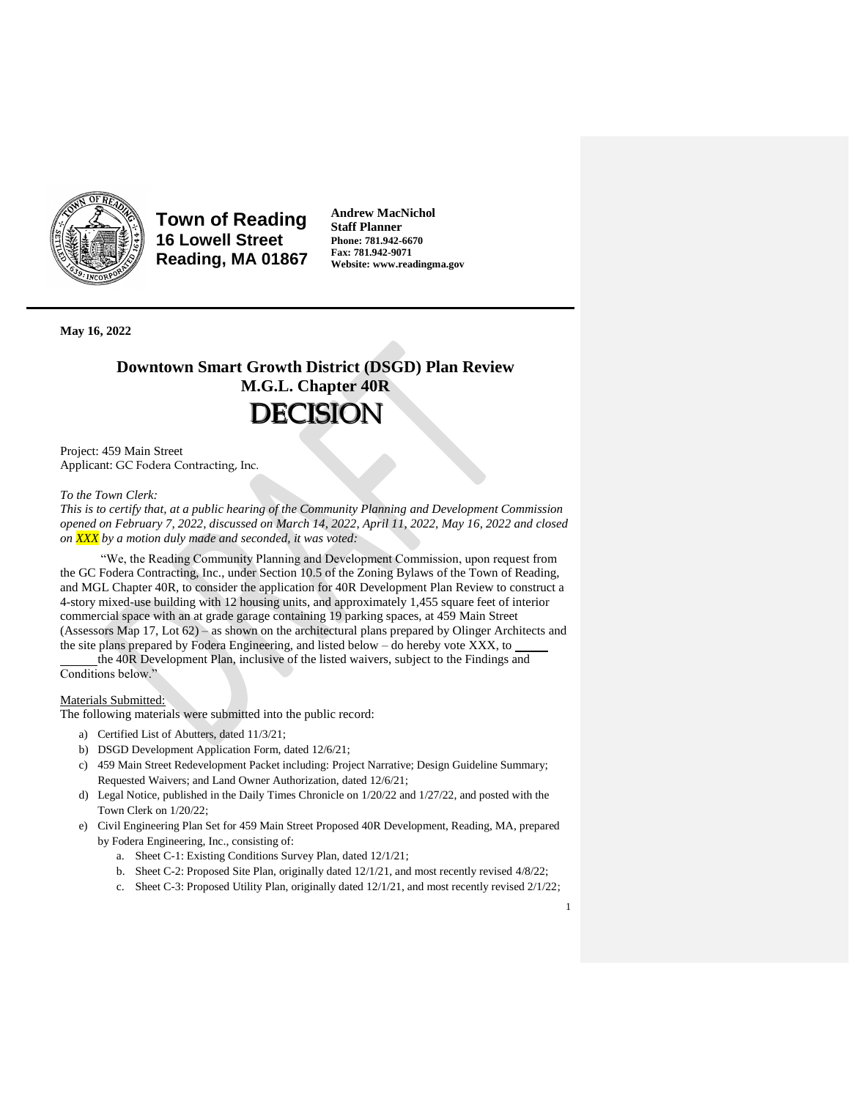

**Town of Reading 16 Lowell Street Reading, MA 01867** **Andrew MacNichol Staff Planner Phone: 781.942-6670 Fax: 781.942-9071 Website: www.readingma.gov**

**May 16, 2022**

# **Downtown Smart Growth District (DSGD) Plan Review M.G.L. Chapter 40R DECISION**

Project: 459 Main Street Applicant: GC Fodera Contracting, Inc.

#### *To the Town Clerk:*

*This is to certify that, at a public hearing of the Community Planning and Development Commission opened on February 7, 2022, discussed on March 14, 2022, April 11, 2022, May 16, 2022 and closed on XXX by a motion duly made and seconded, it was voted:*

"We, the Reading Community Planning and Development Commission, upon request from the GC Fodera Contracting, Inc., under Section 10.5 of the Zoning Bylaws of the Town of Reading, and MGL Chapter 40R, to consider the application for 40R Development Plan Review to construct a 4-story mixed-use building with 12 housing units, and approximately 1,455 square feet of interior commercial space with an at grade garage containing 19 parking spaces, at 459 Main Street (Assessors Map 17, Lot 62) – as shown on the architectural plans prepared by Olinger Architects and the site plans prepared by Fodera Engineering, and listed below – do hereby vote XXX, to

the 40R Development Plan, inclusive of the listed waivers, subject to the Findings and Conditions below."

### Materials Submitted:

The following materials were submitted into the public record:

- a) Certified List of Abutters, dated 11/3/21;
- b) DSGD Development Application Form, dated 12/6/21;
- c) 459 Main Street Redevelopment Packet including: Project Narrative; Design Guideline Summary; Requested Waivers; and Land Owner Authorization, dated 12/6/21;
- d) Legal Notice, published in the Daily Times Chronicle on 1/20/22 and 1/27/22, and posted with the Town Clerk on 1/20/22;
- e) Civil Engineering Plan Set for 459 Main Street Proposed 40R Development, Reading, MA, prepared by Fodera Engineering, Inc., consisting of:
	- a. Sheet C-1: Existing Conditions Survey Plan, dated 12/1/21;
	- b. Sheet C-2: Proposed Site Plan, originally dated 12/1/21, and most recently revised 4/8/22;
	- c. Sheet C-3: Proposed Utility Plan, originally dated 12/1/21, and most recently revised 2/1/22;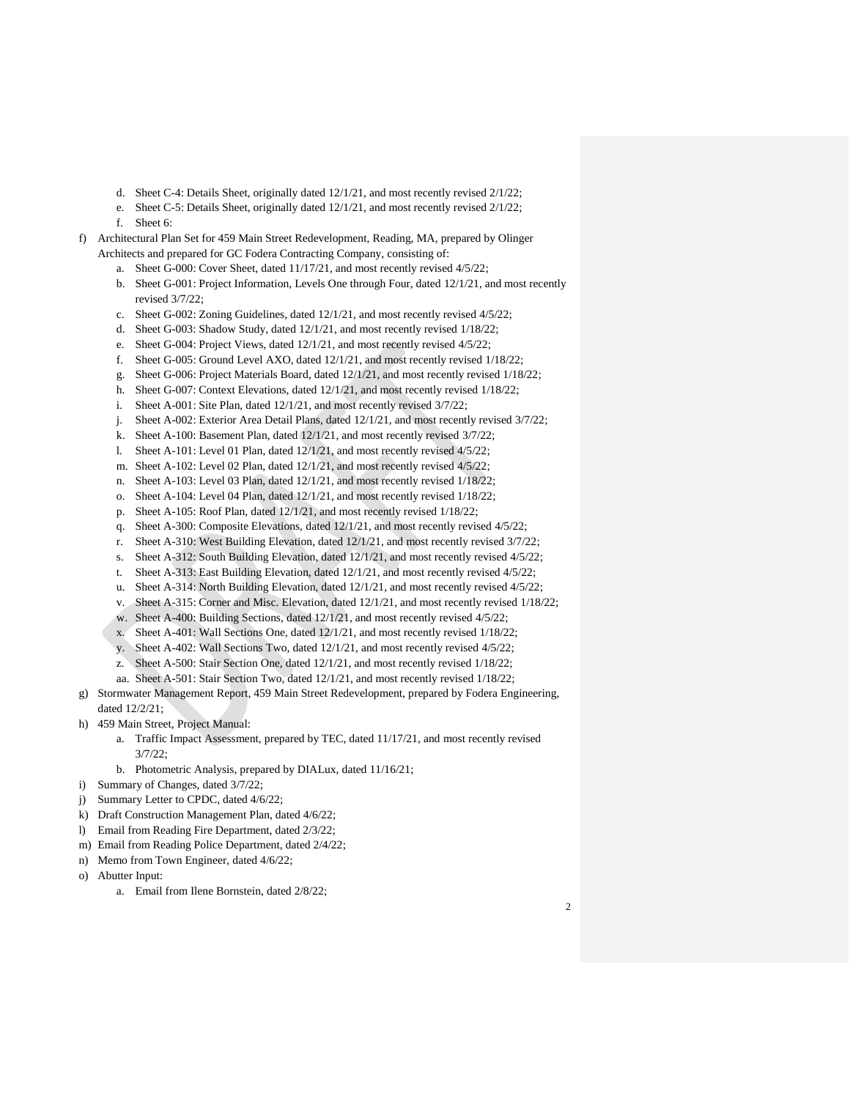- d. Sheet C-4: Details Sheet, originally dated 12/1/21, and most recently revised 2/1/22;
- e. Sheet C-5: Details Sheet, originally dated 12/1/21, and most recently revised 2/1/22;
- f. Sheet 6:
- f) Architectural Plan Set for 459 Main Street Redevelopment, Reading, MA, prepared by Olinger Architects and prepared for GC Fodera Contracting Company, consisting of:
	- a. Sheet G-000: Cover Sheet, dated 11/17/21, and most recently revised 4/5/22;
	- b. Sheet G-001: Project Information, Levels One through Four, dated 12/1/21, and most recently revised 3/7/22;
	- c. Sheet G-002: Zoning Guidelines, dated 12/1/21, and most recently revised 4/5/22;
	- d. Sheet G-003: Shadow Study, dated 12/1/21, and most recently revised 1/18/22;
	- e. Sheet G-004: Project Views, dated 12/1/21, and most recently revised 4/5/22;
	- f. Sheet G-005: Ground Level AXO, dated 12/1/21, and most recently revised 1/18/22;
	- g. Sheet G-006: Project Materials Board, dated 12/1/21, and most recently revised 1/18/22;
	- h. Sheet G-007: Context Elevations, dated 12/1/21, and most recently revised 1/18/22;
	- i. Sheet A-001: Site Plan, dated 12/1/21, and most recently revised 3/7/22;
	- j. Sheet A-002: Exterior Area Detail Plans, dated 12/1/21, and most recently revised 3/7/22;
	- k. Sheet A-100: Basement Plan, dated 12/1/21, and most recently revised 3/7/22;
	- l. Sheet A-101: Level 01 Plan, dated 12/1/21, and most recently revised 4/5/22;
	- m. Sheet A-102: Level 02 Plan, dated 12/1/21, and most recently revised 4/5/22;
	- n. Sheet A-103: Level 03 Plan, dated 12/1/21, and most recently revised 1/18/22;
	- o. Sheet A-104: Level 04 Plan, dated 12/1/21, and most recently revised 1/18/22;
	- p. Sheet A-105: Roof Plan, dated 12/1/21, and most recently revised 1/18/22;
	- q. Sheet A-300: Composite Elevations, dated 12/1/21, and most recently revised 4/5/22;
	- r. Sheet A-310: West Building Elevation, dated 12/1/21, and most recently revised 3/7/22;
	- s. Sheet A-312: South Building Elevation, dated 12/1/21, and most recently revised 4/5/22;
	- t. Sheet A-313: East Building Elevation, dated 12/1/21, and most recently revised 4/5/22;
	- u. Sheet A-314: North Building Elevation, dated 12/1/21, and most recently revised 4/5/22;
	- v. Sheet A-315: Corner and Misc. Elevation, dated 12/1/21, and most recently revised 1/18/22;
	- w. Sheet A-400: Building Sections, dated 12/1/21, and most recently revised 4/5/22;
	- x. Sheet A-401: Wall Sections One, dated 12/1/21, and most recently revised 1/18/22;
	- y. Sheet A-402: Wall Sections Two, dated 12/1/21, and most recently revised 4/5/22;
	- z. Sheet A-500: Stair Section One, dated 12/1/21, and most recently revised 1/18/22;
	- aa. Sheet A-501: Stair Section Two, dated 12/1/21, and most recently revised 1/18/22;
- g) Stormwater Management Report, 459 Main Street Redevelopment, prepared by Fodera Engineering, dated 12/2/21;
- h) 459 Main Street, Project Manual:
	- a. Traffic Impact Assessment, prepared by TEC, dated 11/17/21, and most recently revised 3/7/22;
	- b. Photometric Analysis, prepared by DIALux, dated 11/16/21;
- i) Summary of Changes, dated 3/7/22;
- j) Summary Letter to CPDC, dated 4/6/22;
- k) Draft Construction Management Plan, dated 4/6/22;
- l) Email from Reading Fire Department, dated 2/3/22;
- m) Email from Reading Police Department, dated 2/4/22;
- n) Memo from Town Engineer, dated 4/6/22;
- o) Abutter Input:
	- a. Email from Ilene Bornstein, dated 2/8/22;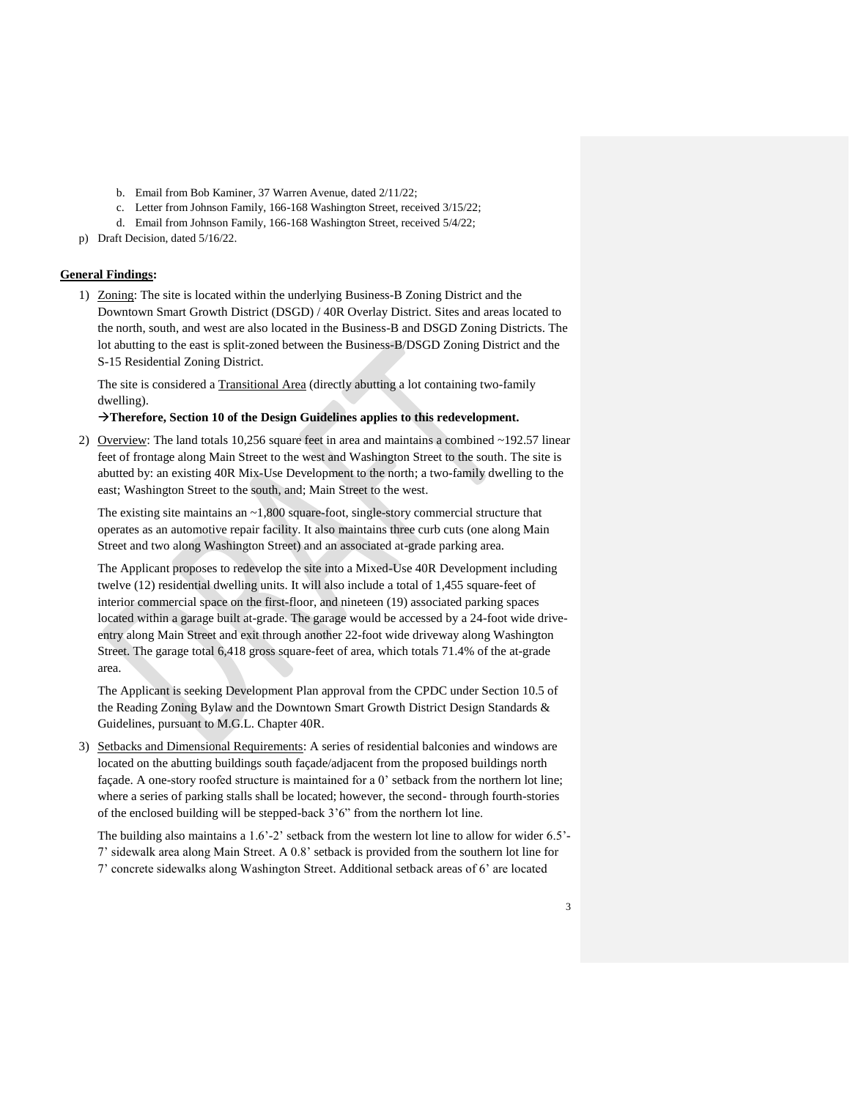- b. Email from Bob Kaminer, 37 Warren Avenue, dated 2/11/22;
- c. Letter from Johnson Family, 166-168 Washington Street, received 3/15/22;
- d. Email from Johnson Family, 166-168 Washington Street, received 5/4/22;
- p) Draft Decision, dated 5/16/22.

# **General Findings:**

1) Zoning: The site is located within the underlying Business-B Zoning District and the Downtown Smart Growth District (DSGD) / 40R Overlay District. Sites and areas located to the north, south, and west are also located in the Business-B and DSGD Zoning Districts. The lot abutting to the east is split-zoned between the Business-B/DSGD Zoning District and the S-15 Residential Zoning District.

The site is considered a Transitional Area (directly abutting a lot containing two-family dwelling).

#### →**Therefore, Section 10 of the Design Guidelines applies to this redevelopment.**

2) Overview: The land totals  $10,256$  square feet in area and maintains a combined  $\sim$ 192.57 linear feet of frontage along Main Street to the west and Washington Street to the south. The site is abutted by: an existing 40R Mix-Use Development to the north; a two-family dwelling to the east; Washington Street to the south, and; Main Street to the west.

The existing site maintains an  $\sim$ 1,800 square-foot, single-story commercial structure that operates as an automotive repair facility. It also maintains three curb cuts (one along Main Street and two along Washington Street) and an associated at-grade parking area.

The Applicant proposes to redevelop the site into a Mixed-Use 40R Development including twelve (12) residential dwelling units. It will also include a total of 1,455 square-feet of interior commercial space on the first-floor, and nineteen (19) associated parking spaces located within a garage built at-grade. The garage would be accessed by a 24-foot wide driveentry along Main Street and exit through another 22-foot wide driveway along Washington Street. The garage total 6,418 gross square-feet of area, which totals 71.4% of the at-grade area.

The Applicant is seeking Development Plan approval from the CPDC under Section 10.5 of the Reading Zoning Bylaw and the Downtown Smart Growth District Design Standards & Guidelines, pursuant to M.G.L. Chapter 40R.

3) Setbacks and Dimensional Requirements: A series of residential balconies and windows are located on the abutting buildings south façade/adjacent from the proposed buildings north façade. A one-story roofed structure is maintained for a 0' setback from the northern lot line; where a series of parking stalls shall be located; however, the second- through fourth-stories of the enclosed building will be stepped-back 3'6" from the northern lot line.

The building also maintains a 1.6'-2' setback from the western lot line to allow for wider 6.5'- 7' sidewalk area along Main Street. A 0.8' setback is provided from the southern lot line for 7' concrete sidewalks along Washington Street. Additional setback areas of 6' are located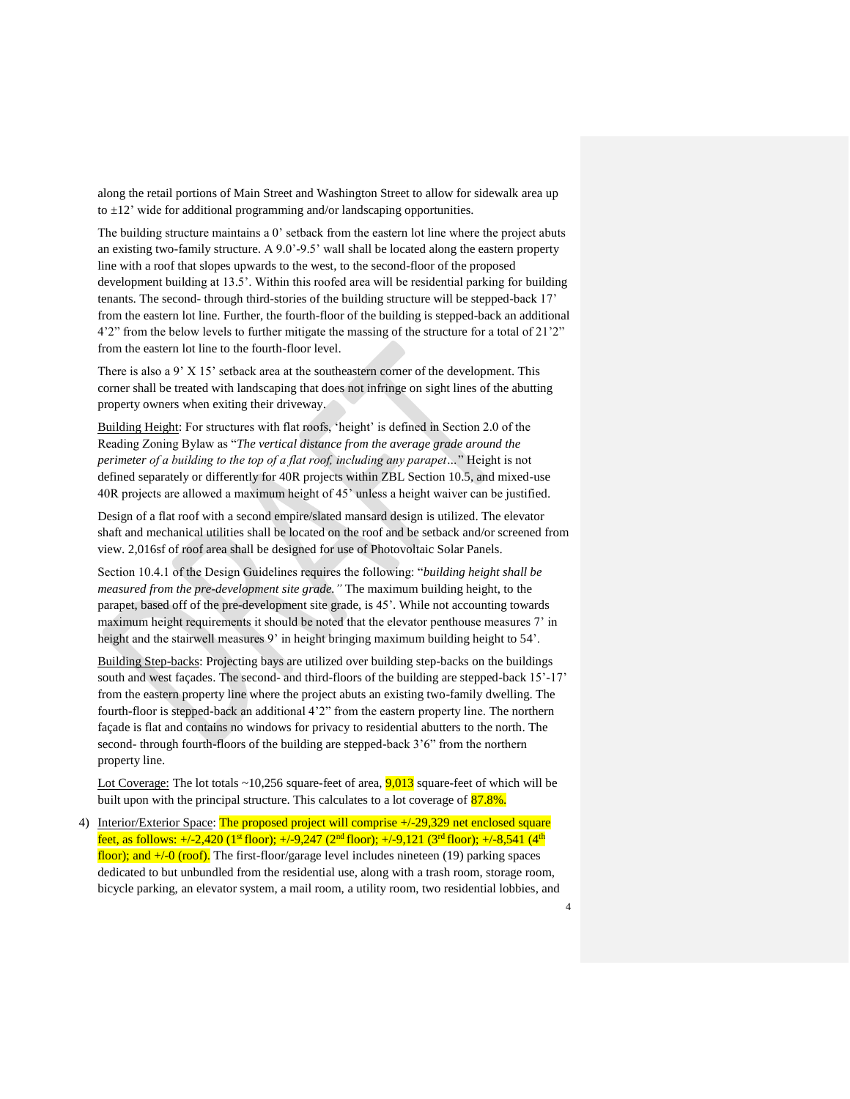along the retail portions of Main Street and Washington Street to allow for sidewalk area up to  $\pm 12$ ' wide for additional programming and/or landscaping opportunities.

The building structure maintains a 0' setback from the eastern lot line where the project abuts an existing two-family structure. A 9.0'-9.5' wall shall be located along the eastern property line with a roof that slopes upwards to the west, to the second-floor of the proposed development building at 13.5'. Within this roofed area will be residential parking for building tenants. The second- through third-stories of the building structure will be stepped-back 17' from the eastern lot line. Further, the fourth-floor of the building is stepped-back an additional 4'2" from the below levels to further mitigate the massing of the structure for a total of 21'2" from the eastern lot line to the fourth-floor level.

There is also a 9' X 15' setback area at the southeastern corner of the development. This corner shall be treated with landscaping that does not infringe on sight lines of the abutting property owners when exiting their driveway.

Building Height: For structures with flat roofs, 'height' is defined in Section 2.0 of the Reading Zoning Bylaw as "*The vertical distance from the average grade around the perimeter of a building to the top of a flat roof, including any parapet…*" Height is not defined separately or differently for 40R projects within ZBL Section 10.5, and mixed-use 40R projects are allowed a maximum height of 45' unless a height waiver can be justified.

Design of a flat roof with a second empire/slated mansard design is utilized. The elevator shaft and mechanical utilities shall be located on the roof and be setback and/or screened from view. 2,016sf of roof area shall be designed for use of Photovoltaic Solar Panels.

Section 10.4.1 of the Design Guidelines requires the following: "*building height shall be measured from the pre-development site grade."* The maximum building height, to the parapet, based off of the pre-development site grade, is 45'. While not accounting towards maximum height requirements it should be noted that the elevator penthouse measures 7' in height and the stairwell measures 9' in height bringing maximum building height to 54'.

Building Step-backs: Projecting bays are utilized over building step-backs on the buildings south and west façades. The second- and third-floors of the building are stepped-back 15'-17' from the eastern property line where the project abuts an existing two-family dwelling. The fourth-floor is stepped-back an additional 4'2" from the eastern property line. The northern façade is flat and contains no windows for privacy to residential abutters to the north. The second- through fourth-floors of the building are stepped-back 3'6" from the northern property line.

Lot Coverage: The lot totals  $\sim$ 10,256 square-feet of area,  $9,013$  square-feet of which will be built upon with the principal structure. This calculates to a lot coverage of  $87.8\%$ .

4) Interior/Exterior Space: The proposed project will comprise +/-29,329 net enclosed square feet, as follows:  $+/-2,420$  (1<sup>st</sup> floor);  $+/-9,247$  (2<sup>nd</sup> floor);  $+/-9,121$  (3<sup>rd</sup> floor);  $+/-8,541$  (4<sup>th</sup> floor); and  $+/-0$  (roof). The first-floor/garage level includes nineteen (19) parking spaces dedicated to but unbundled from the residential use, along with a trash room, storage room, bicycle parking, an elevator system, a mail room, a utility room, two residential lobbies, and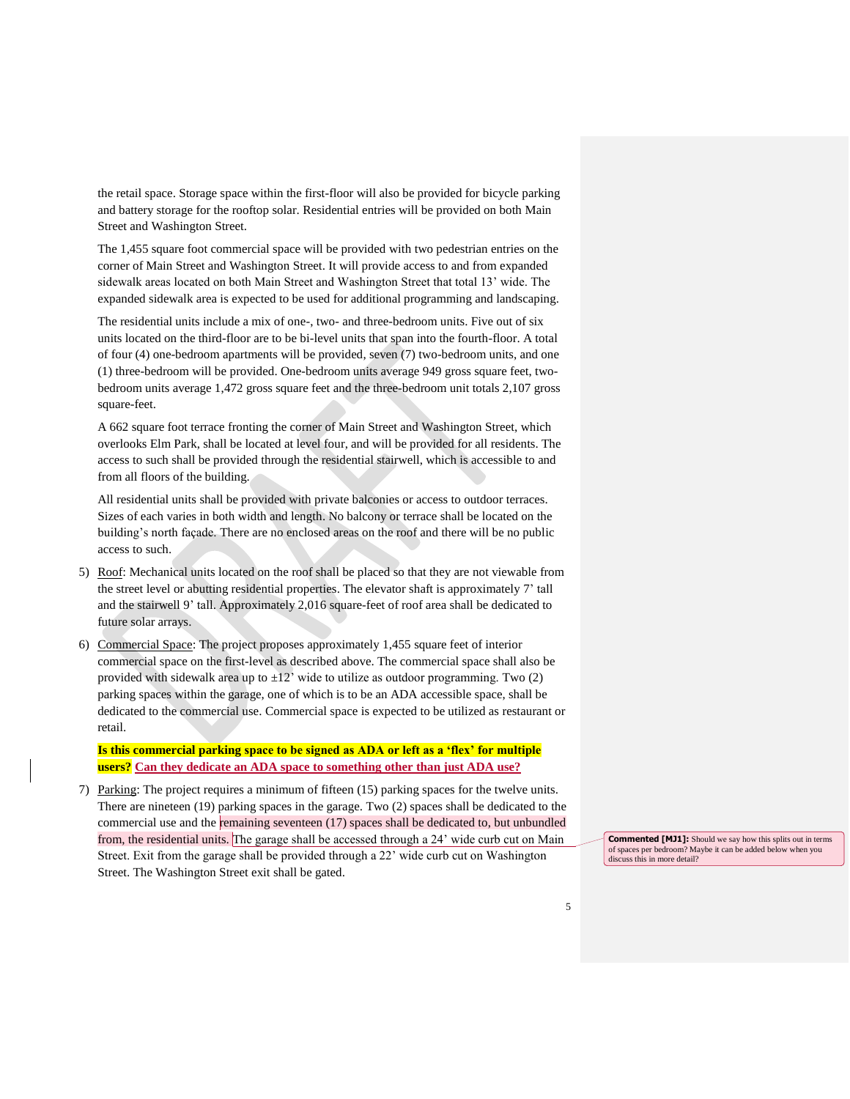the retail space. Storage space within the first-floor will also be provided for bicycle parking and battery storage for the rooftop solar. Residential entries will be provided on both Main Street and Washington Street.

The 1,455 square foot commercial space will be provided with two pedestrian entries on the corner of Main Street and Washington Street. It will provide access to and from expanded sidewalk areas located on both Main Street and Washington Street that total 13' wide. The expanded sidewalk area is expected to be used for additional programming and landscaping.

The residential units include a mix of one-, two- and three-bedroom units. Five out of six units located on the third-floor are to be bi-level units that span into the fourth-floor. A total of four (4) one-bedroom apartments will be provided, seven (7) two-bedroom units, and one (1) three-bedroom will be provided. One-bedroom units average 949 gross square feet, twobedroom units average 1,472 gross square feet and the three-bedroom unit totals 2,107 gross square-feet.

A 662 square foot terrace fronting the corner of Main Street and Washington Street, which overlooks Elm Park, shall be located at level four, and will be provided for all residents. The access to such shall be provided through the residential stairwell, which is accessible to and from all floors of the building.

All residential units shall be provided with private balconies or access to outdoor terraces. Sizes of each varies in both width and length. No balcony or terrace shall be located on the building's north façade. There are no enclosed areas on the roof and there will be no public access to such.

- 5) Roof: Mechanical units located on the roof shall be placed so that they are not viewable from the street level or abutting residential properties. The elevator shaft is approximately 7' tall and the stairwell 9' tall. Approximately 2,016 square-feet of roof area shall be dedicated to future solar arrays.
- 6) Commercial Space: The project proposes approximately 1,455 square feet of interior commercial space on the first-level as described above. The commercial space shall also be provided with sidewalk area up to  $\pm 12$ ' wide to utilize as outdoor programming. Two (2) parking spaces within the garage, one of which is to be an ADA accessible space, shall be dedicated to the commercial use. Commercial space is expected to be utilized as restaurant or retail.

**Is this commercial parking space to be signed as ADA or left as a 'flex' for multiple users? Can they dedicate an ADA space to something other than just ADA use?**

7) Parking: The project requires a minimum of fifteen (15) parking spaces for the twelve units. There are nineteen (19) parking spaces in the garage. Two (2) spaces shall be dedicated to the commercial use and the remaining seventeen (17) spaces shall be dedicated to, but unbundled from, the residential units. The garage shall be accessed through a 24' wide curb cut on Main Street. Exit from the garage shall be provided through a 22' wide curb cut on Washington Street. The Washington Street exit shall be gated.

**Commented [MJ1]:** Should we say how this splits out in terms of spaces per bedroom? Maybe it can be added below when you discuss this in more detail?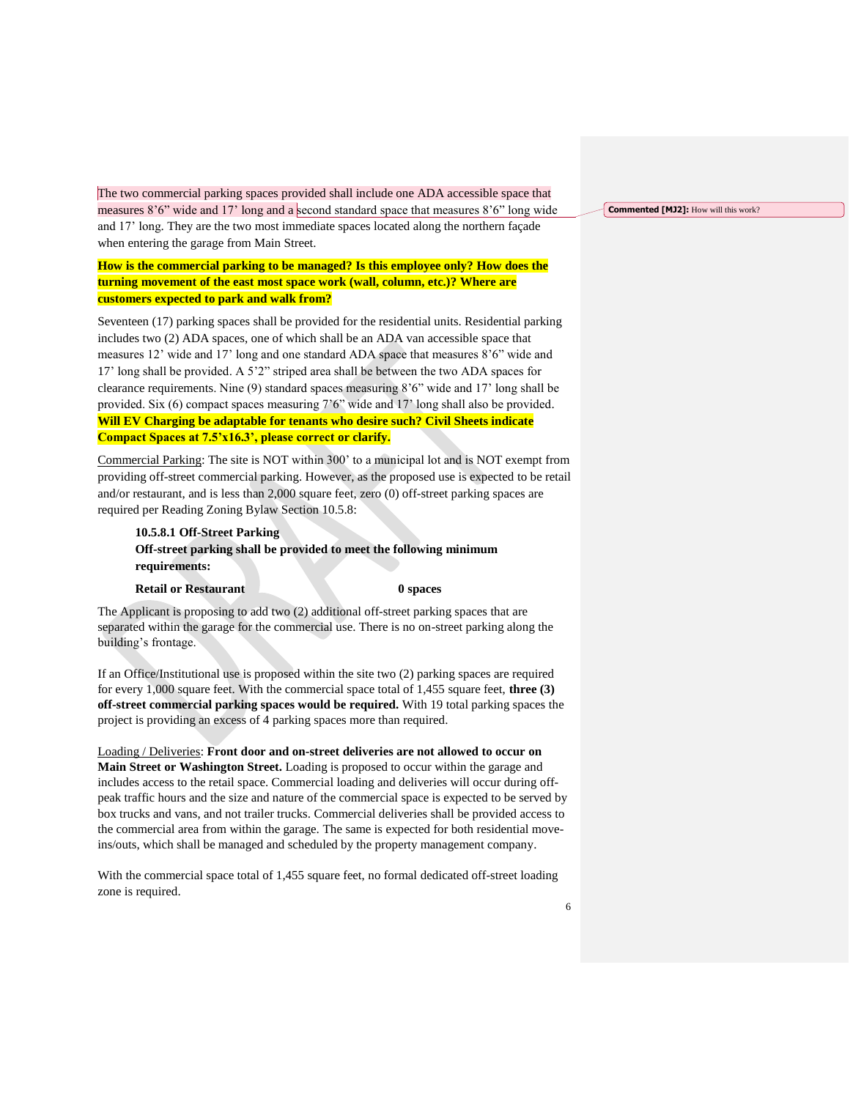The two commercial parking spaces provided shall include one ADA accessible space that measures 8'6" wide and 17' long and a second standard space that measures 8'6" long wide and 17' long. They are the two most immediate spaces located along the northern façade when entering the garage from Main Street.

# **How is the commercial parking to be managed? Is this employee only? How does the turning movement of the east most space work (wall, column, etc.)? Where are customers expected to park and walk from?**

Seventeen (17) parking spaces shall be provided for the residential units. Residential parking includes two (2) ADA spaces, one of which shall be an ADA van accessible space that measures 12' wide and 17' long and one standard ADA space that measures 8'6" wide and 17' long shall be provided. A 5'2" striped area shall be between the two ADA spaces for clearance requirements. Nine (9) standard spaces measuring 8'6" wide and 17' long shall be provided. Six (6) compact spaces measuring 7'6" wide and 17' long shall also be provided. **Will EV Charging be adaptable for tenants who desire such? Civil Sheets indicate Compact Spaces at 7.5'x16.3', please correct or clarify.** 

Commercial Parking: The site is NOT within 300' to a municipal lot and is NOT exempt from providing off-street commercial parking. However, as the proposed use is expected to be retail and/or restaurant, and is less than 2,000 square feet, zero (0) off-street parking spaces are required per Reading Zoning Bylaw Section 10.5.8:

# **10.5.8.1 Off-Street Parking Off-street parking shall be provided to meet the following minimum requirements:**

#### **Retail or Restaurant 0 spaces 0 spaces**

The Applicant is proposing to add two (2) additional off-street parking spaces that are separated within the garage for the commercial use. There is no on-street parking along the building's frontage.

If an Office/Institutional use is proposed within the site two (2) parking spaces are required for every 1,000 square feet. With the commercial space total of 1,455 square feet, **three (3) off-street commercial parking spaces would be required.** With 19 total parking spaces the project is providing an excess of 4 parking spaces more than required.

Loading / Deliveries: **Front door and on-street deliveries are not allowed to occur on Main Street or Washington Street.** Loading is proposed to occur within the garage and includes access to the retail space. Commercial loading and deliveries will occur during offpeak traffic hours and the size and nature of the commercial space is expected to be served by box trucks and vans, and not trailer trucks. Commercial deliveries shall be provided access to the commercial area from within the garage. The same is expected for both residential moveins/outs, which shall be managed and scheduled by the property management company.

With the commercial space total of 1,455 square feet, no formal dedicated off-street loading zone is required.

**Commented [MJ2]:** How will this work?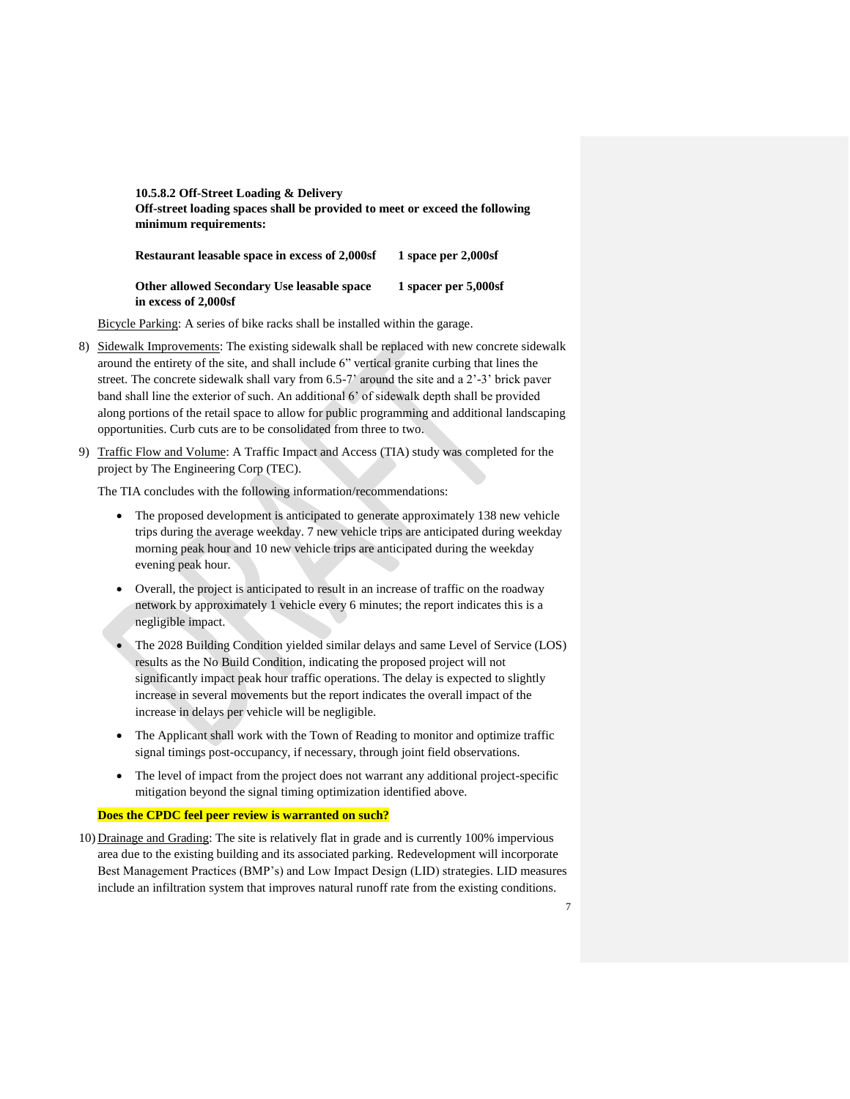# **10.5.8.2 Off-Street Loading & Delivery Off-street loading spaces shall be provided to meet or exceed the following minimum requirements:**

| 1 space per $2,000$ sf<br><b>Restaurant leasable space in excess of 2,000sf</b> |  |
|---------------------------------------------------------------------------------|--|
|---------------------------------------------------------------------------------|--|

### **Other allowed Secondary Use leasable space 1 spacer per 5,000sf in excess of 2,000sf**

Bicycle Parking: A series of bike racks shall be installed within the garage.

- 8) Sidewalk Improvements: The existing sidewalk shall be replaced with new concrete sidewalk around the entirety of the site, and shall include 6" vertical granite curbing that lines the street. The concrete sidewalk shall vary from 6.5-7' around the site and a 2'-3' brick paver band shall line the exterior of such. An additional 6' of sidewalk depth shall be provided along portions of the retail space to allow for public programming and additional landscaping opportunities. Curb cuts are to be consolidated from three to two.
- 9) Traffic Flow and Volume: A Traffic Impact and Access (TIA) study was completed for the project by The Engineering Corp (TEC).

The TIA concludes with the following information/recommendations:

- The proposed development is anticipated to generate approximately 138 new vehicle trips during the average weekday. 7 new vehicle trips are anticipated during weekday morning peak hour and 10 new vehicle trips are anticipated during the weekday evening peak hour.
- Overall, the project is anticipated to result in an increase of traffic on the roadway network by approximately 1 vehicle every 6 minutes; the report indicates this is a negligible impact.
- The 2028 Building Condition yielded similar delays and same Level of Service (LOS) results as the No Build Condition, indicating the proposed project will not significantly impact peak hour traffic operations. The delay is expected to slightly increase in several movements but the report indicates the overall impact of the increase in delays per vehicle will be negligible.
- The Applicant shall work with the Town of Reading to monitor and optimize traffic signal timings post-occupancy, if necessary, through joint field observations.
- The level of impact from the project does not warrant any additional project-specific mitigation beyond the signal timing optimization identified above.

#### **Does the CPDC feel peer review is warranted on such?**

10) Drainage and Grading: The site is relatively flat in grade and is currently 100% impervious area due to the existing building and its associated parking. Redevelopment will incorporate Best Management Practices (BMP's) and Low Impact Design (LID) strategies. LID measures include an infiltration system that improves natural runoff rate from the existing conditions.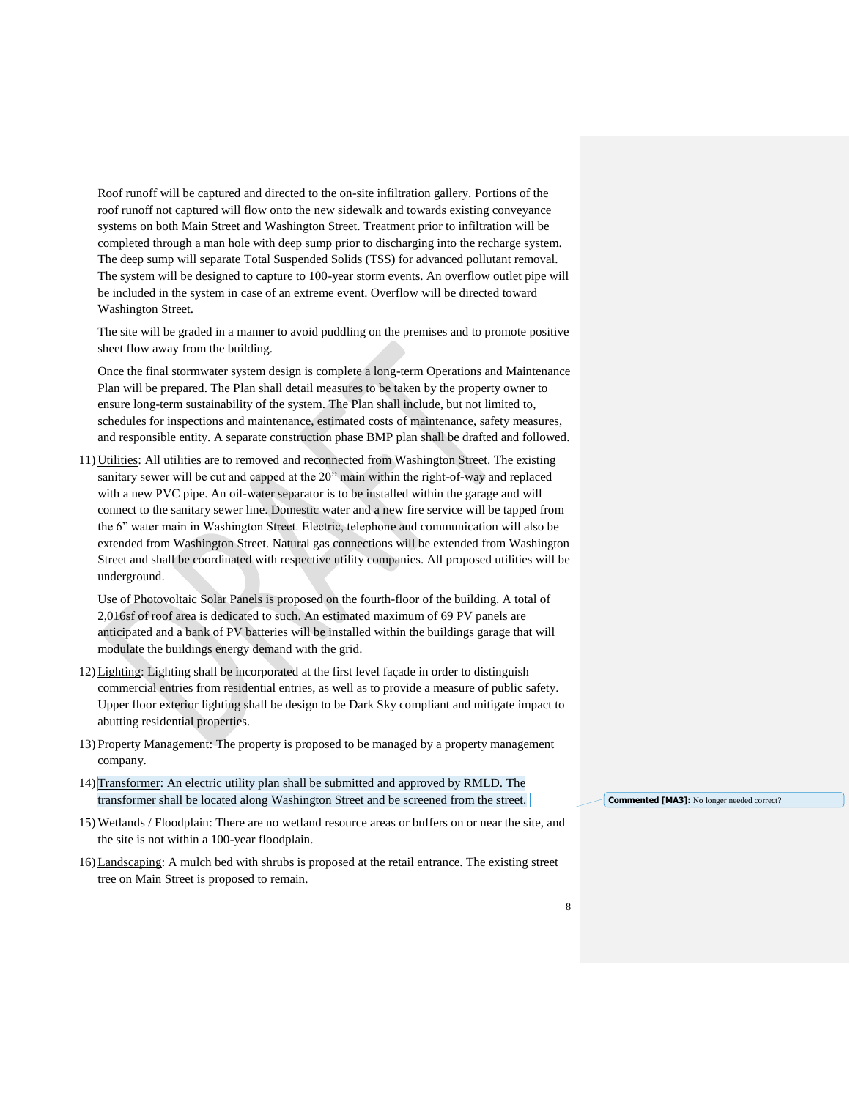Roof runoff will be captured and directed to the on-site infiltration gallery. Portions of the roof runoff not captured will flow onto the new sidewalk and towards existing conveyance systems on both Main Street and Washington Street. Treatment prior to infiltration will be completed through a man hole with deep sump prior to discharging into the recharge system. The deep sump will separate Total Suspended Solids (TSS) for advanced pollutant removal. The system will be designed to capture to 100-year storm events. An overflow outlet pipe will be included in the system in case of an extreme event. Overflow will be directed toward Washington Street.

The site will be graded in a manner to avoid puddling on the premises and to promote positive sheet flow away from the building.

Once the final stormwater system design is complete a long-term Operations and Maintenance Plan will be prepared. The Plan shall detail measures to be taken by the property owner to ensure long-term sustainability of the system. The Plan shall include, but not limited to, schedules for inspections and maintenance, estimated costs of maintenance, safety measures, and responsible entity. A separate construction phase BMP plan shall be drafted and followed.

11) Utilities: All utilities are to removed and reconnected from Washington Street. The existing sanitary sewer will be cut and capped at the 20" main within the right-of-way and replaced with a new PVC pipe. An oil-water separator is to be installed within the garage and will connect to the sanitary sewer line. Domestic water and a new fire service will be tapped from the 6" water main in Washington Street. Electric, telephone and communication will also be extended from Washington Street. Natural gas connections will be extended from Washington Street and shall be coordinated with respective utility companies. All proposed utilities will be underground.

Use of Photovoltaic Solar Panels is proposed on the fourth-floor of the building. A total of 2,016sf of roof area is dedicated to such. An estimated maximum of 69 PV panels are anticipated and a bank of PV batteries will be installed within the buildings garage that will modulate the buildings energy demand with the grid.

- 12) Lighting: Lighting shall be incorporated at the first level façade in order to distinguish commercial entries from residential entries, as well as to provide a measure of public safety. Upper floor exterior lighting shall be design to be Dark Sky compliant and mitigate impact to abutting residential properties.
- 13) Property Management: The property is proposed to be managed by a property management company.
- 14) Transformer: An electric utility plan shall be submitted and approved by RMLD. The transformer shall be located along Washington Street and be screened from the street.
- 15) Wetlands / Floodplain: There are no wetland resource areas or buffers on or near the site, and the site is not within a 100-year floodplain.
- 16) Landscaping: A mulch bed with shrubs is proposed at the retail entrance. The existing street tree on Main Street is proposed to remain.

**Commented [MA3]:** No longer needed correct?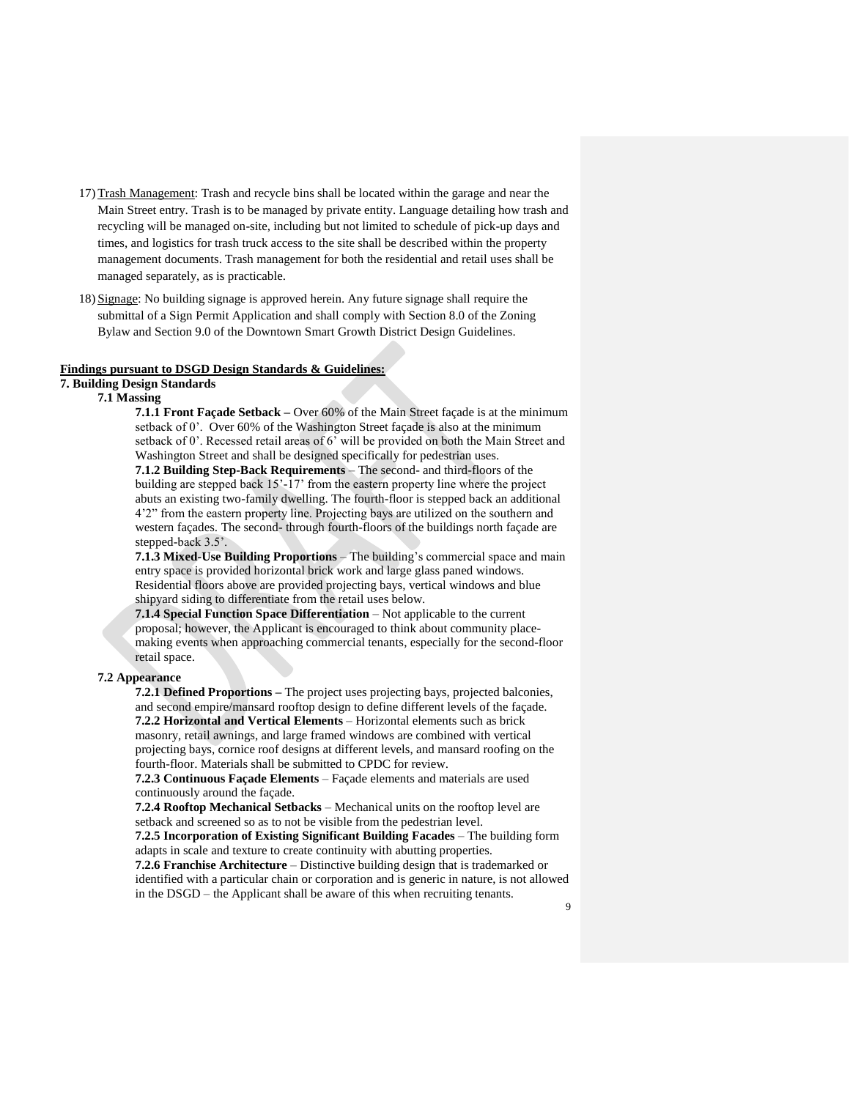- 17) Trash Management: Trash and recycle bins shall be located within the garage and near the Main Street entry. Trash is to be managed by private entity. Language detailing how trash and recycling will be managed on-site, including but not limited to schedule of pick-up days and times, and logistics for trash truck access to the site shall be described within the property management documents. Trash management for both the residential and retail uses shall be managed separately, as is practicable.
- 18) Signage: No building signage is approved herein. Any future signage shall require the submittal of a Sign Permit Application and shall comply with Section 8.0 of the Zoning Bylaw and Section 9.0 of the Downtown Smart Growth District Design Guidelines.

#### **Findings pursuant to DSGD Design Standards & Guidelines:**

# **7. Building Design Standards**

#### **7.1 Massing**

**7.1.1 Front Façade Setback –** Over 60% of the Main Street façade is at the minimum setback of 0'. Over 60% of the Washington Street façade is also at the minimum setback of 0'. Recessed retail areas of 6' will be provided on both the Main Street and Washington Street and shall be designed specifically for pedestrian uses.

**7.1.2 Building Step-Back Requirements** – The second- and third-floors of the building are stepped back 15'-17' from the eastern property line where the project abuts an existing two-family dwelling. The fourth-floor is stepped back an additional 4'2" from the eastern property line. Projecting bays are utilized on the southern and western façades. The second- through fourth-floors of the buildings north façade are stepped-back 3.5'.

**7.1.3 Mixed-Use Building Proportions** – The building's commercial space and main entry space is provided horizontal brick work and large glass paned windows. Residential floors above are provided projecting bays, vertical windows and blue shipyard siding to differentiate from the retail uses below.

**7.1.4 Special Function Space Differentiation** – Not applicable to the current proposal; however, the Applicant is encouraged to think about community placemaking events when approaching commercial tenants, especially for the second-floor retail space.

# **7.2 Appearance**

**7.2.1 Defined Proportions –** The project uses projecting bays, projected balconies, and second empire/mansard rooftop design to define different levels of the façade. **7.2.2 Horizontal and Vertical Elements** – Horizontal elements such as brick masonry, retail awnings, and large framed windows are combined with vertical projecting bays, cornice roof designs at different levels, and mansard roofing on the fourth-floor. Materials shall be submitted to CPDC for review.

**7.2.3 Continuous Façade Elements** – Façade elements and materials are used continuously around the façade.

in the DSGD – the Applicant shall be aware of this when recruiting tenants.

**7.2.4 Rooftop Mechanical Setbacks** – Mechanical units on the rooftop level are setback and screened so as to not be visible from the pedestrian level. **7.2.5 Incorporation of Existing Significant Building Facades** – The building form adapts in scale and texture to create continuity with abutting properties. **7.2.6 Franchise Architecture** – Distinctive building design that is trademarked or identified with a particular chain or corporation and is generic in nature, is not allowed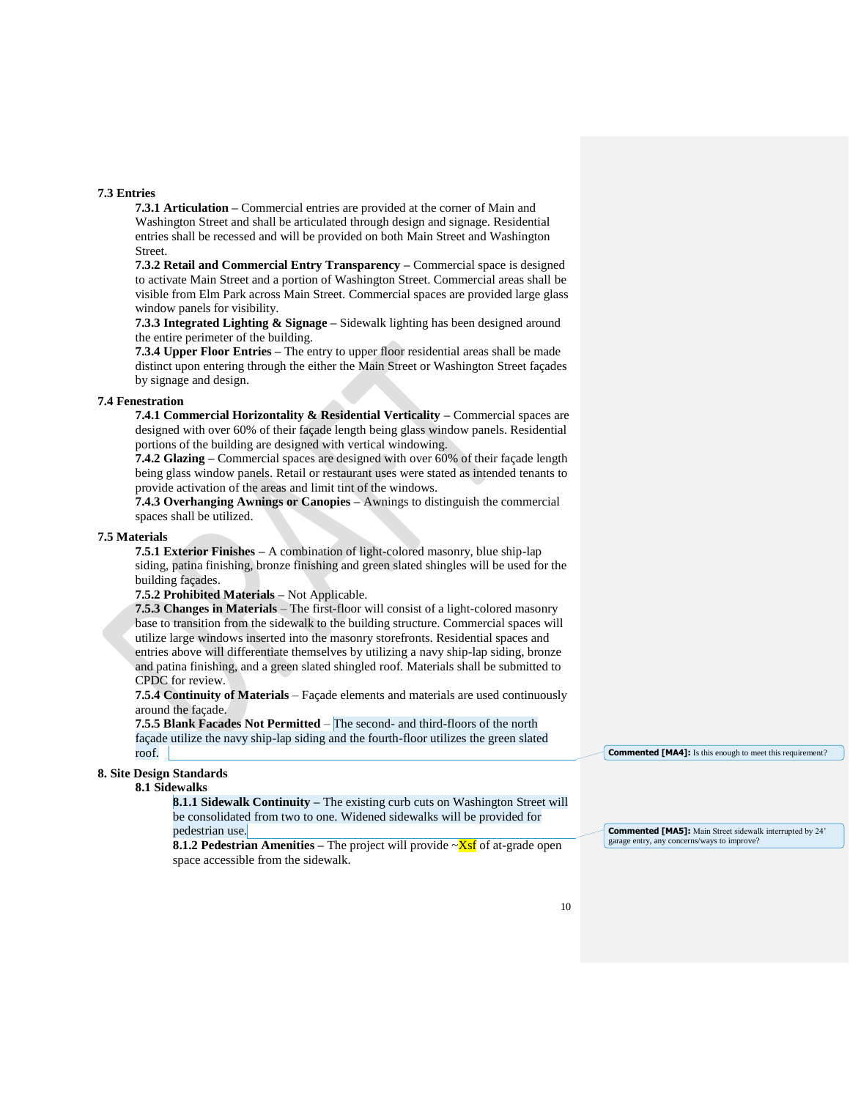#### **7.3 Entries**

**7.3.1 Articulation –** Commercial entries are provided at the corner of Main and Washington Street and shall be articulated through design and signage. Residential entries shall be recessed and will be provided on both Main Street and Washington Street.

**7.3.2 Retail and Commercial Entry Transparency –** Commercial space is designed to activate Main Street and a portion of Washington Street. Commercial areas shall be visible from Elm Park across Main Street. Commercial spaces are provided large glass window panels for visibility.

**7.3.3 Integrated Lighting & Signage –** Sidewalk lighting has been designed around the entire perimeter of the building.

**7.3.4 Upper Floor Entries –** The entry to upper floor residential areas shall be made distinct upon entering through the either the Main Street or Washington Street façades by signage and design.

# **7.4 Fenestration**

**7.4.1 Commercial Horizontality & Residential Verticality –** Commercial spaces are designed with over 60% of their façade length being glass window panels. Residential portions of the building are designed with vertical windowing.

**7.4.2 Glazing –** Commercial spaces are designed with over 60% of their façade length being glass window panels. Retail or restaurant uses were stated as intended tenants to provide activation of the areas and limit tint of the windows.

**7.4.3 Overhanging Awnings or Canopies –** Awnings to distinguish the commercial spaces shall be utilized.

#### **7.5 Materials**

**7.5.1 Exterior Finishes –** A combination of light-colored masonry, blue ship-lap siding, patina finishing, bronze finishing and green slated shingles will be used for the building façades.

# **7.5.2 Prohibited Materials –** Not Applicable.

**7.5.3 Changes in Materials** – The first-floor will consist of a light-colored masonry base to transition from the sidewalk to the building structure. Commercial spaces will utilize large windows inserted into the masonry storefronts. Residential spaces and entries above will differentiate themselves by utilizing a navy ship-lap siding, bronze and patina finishing, and a green slated shingled roof. Materials shall be submitted to CPDC for review.

**7.5.4 Continuity of Materials** – Façade elements and materials are used continuously around the façade.

**7.5.5 Blank Facades Not Permitted** – The second- and third-floors of the north façade utilize the navy ship-lap siding and the fourth-floor utilizes the green slated roof.

#### **8. Site Design Standards**

#### **8.1 Sidewalks**

**8.1.1 Sidewalk Continuity –** The existing curb cuts on Washington Street will be consolidated from two to one. Widened sidewalks will be provided for pedestrian use.

**8.1.2 Pedestrian Amenities** – The project will provide  $\sim$ Xsf of at-grade open space accessible from the sidewalk.

**Commented [MA4]:** Is this enough to meet this requirement?

**Commented [MA5]:** Main Street sidewalk interrupted by 24' garage entry, any concerns/ways to improve?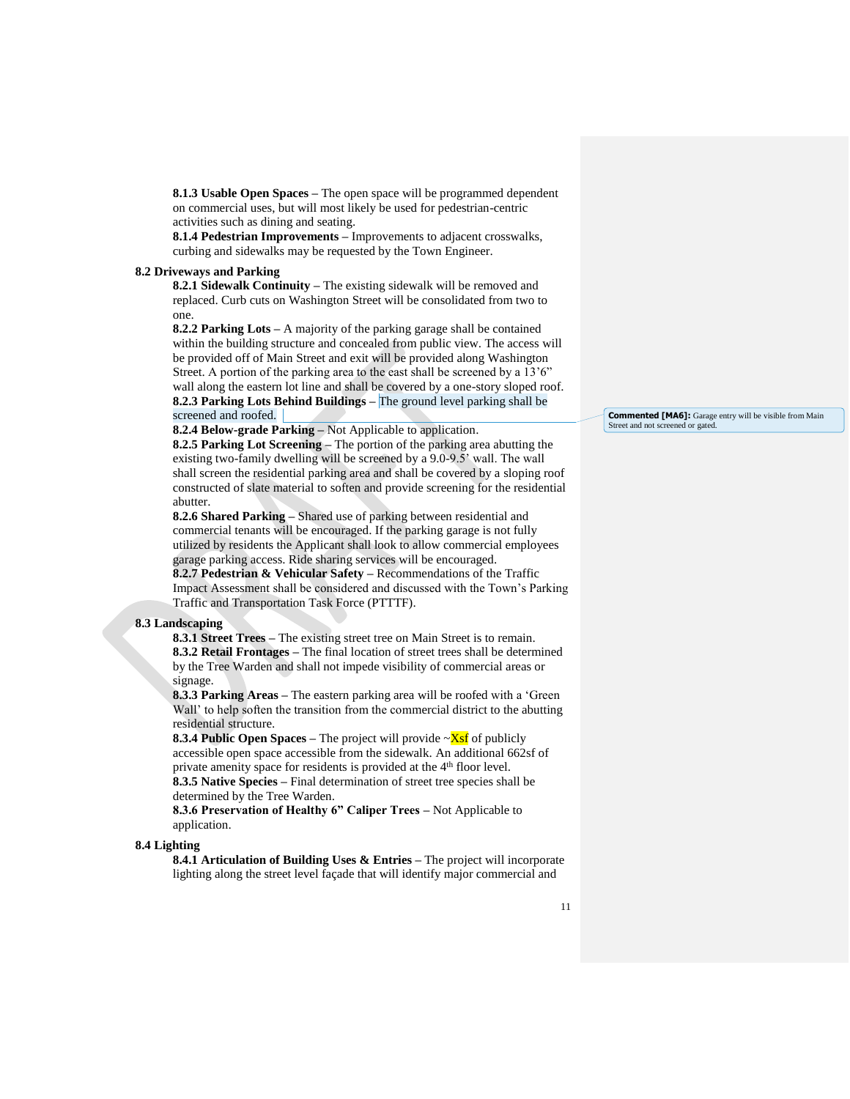**8.1.3 Usable Open Spaces –** The open space will be programmed dependent on commercial uses, but will most likely be used for pedestrian-centric activities such as dining and seating.

**8.1.4 Pedestrian Improvements –** Improvements to adjacent crosswalks, curbing and sidewalks may be requested by the Town Engineer.

#### **8.2 Driveways and Parking**

**8.2.1 Sidewalk Continuity –** The existing sidewalk will be removed and replaced. Curb cuts on Washington Street will be consolidated from two to one.

**8.2.2 Parking Lots –** A majority of the parking garage shall be contained within the building structure and concealed from public view. The access will be provided off of Main Street and exit will be provided along Washington Street. A portion of the parking area to the east shall be screened by a 13'6" wall along the eastern lot line and shall be covered by a one-story sloped roof. **8.2.3 Parking Lots Behind Buildings –** The ground level parking shall be screened and roofed.

**8.2.4 Below-grade Parking –** Not Applicable to application.

**8.2.5 Parking Lot Screening –** The portion of the parking area abutting the existing two-family dwelling will be screened by a 9.0-9.5' wall. The wall shall screen the residential parking area and shall be covered by a sloping roof constructed of slate material to soften and provide screening for the residential abutter.

**8.2.6 Shared Parking –** Shared use of parking between residential and commercial tenants will be encouraged. If the parking garage is not fully utilized by residents the Applicant shall look to allow commercial employees garage parking access. Ride sharing services will be encouraged. **8.2.7 Pedestrian & Vehicular Safety –** Recommendations of the Traffic Impact Assessment shall be considered and discussed with the Town's Parking Traffic and Transportation Task Force (PTTTF).

# **8.3 Landscaping**

**8.3.1 Street Trees –** The existing street tree on Main Street is to remain. **8.3.2 Retail Frontages –** The final location of street trees shall be determined by the Tree Warden and shall not impede visibility of commercial areas or signage.

**8.3.3 Parking Areas –** The eastern parking area will be roofed with a 'Green Wall' to help soften the transition from the commercial district to the abutting residential structure.

**8.3.4 Public Open Spaces –** The project will provide ~Xsf of publicly accessible open space accessible from the sidewalk. An additional 662sf of private amenity space for residents is provided at the 4<sup>th</sup> floor level. **8.3.5 Native Species –** Final determination of street tree species shall be determined by the Tree Warden.

**8.3.6 Preservation of Healthy 6" Caliper Trees –** Not Applicable to application.

#### **8.4 Lighting**

**8.4.1 Articulation of Building Uses & Entries –** The project will incorporate lighting along the street level façade that will identify major commercial and

**Commented [MA6]:** Garage entry will be visible from Main Street and not screened or gated.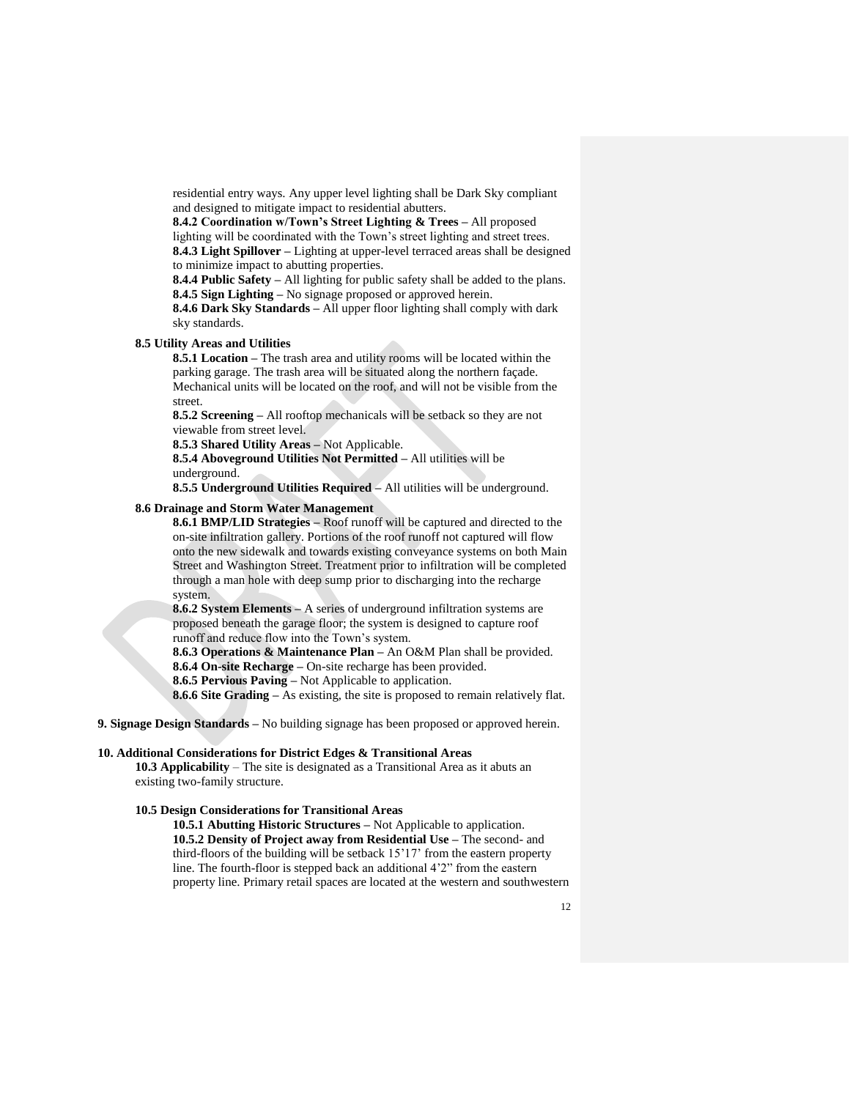residential entry ways. Any upper level lighting shall be Dark Sky compliant and designed to mitigate impact to residential abutters.

**8.4.2 Coordination w/Town's Street Lighting & Trees –** All proposed lighting will be coordinated with the Town's street lighting and street trees. **8.4.3 Light Spillover –** Lighting at upper-level terraced areas shall be designed to minimize impact to abutting properties.

**8.4.4 Public Safety –** All lighting for public safety shall be added to the plans. **8.4.5 Sign Lighting –** No signage proposed or approved herein.

**8.4.6 Dark Sky Standards –** All upper floor lighting shall comply with dark sky standards.

# **8.5 Utility Areas and Utilities**

**8.5.1 Location –** The trash area and utility rooms will be located within the parking garage. The trash area will be situated along the northern façade. Mechanical units will be located on the roof, and will not be visible from the street.

**8.5.2 Screening –** All rooftop mechanicals will be setback so they are not viewable from street level.

**8.5.3 Shared Utility Areas –** Not Applicable.

**8.5.4 Aboveground Utilities Not Permitted –** All utilities will be underground.

**8.5.5 Underground Utilities Required –** All utilities will be underground.

#### **8.6 Drainage and Storm Water Management**

**8.6.1 BMP/LID Strategies –** Roof runoff will be captured and directed to the on-site infiltration gallery. Portions of the roof runoff not captured will flow onto the new sidewalk and towards existing conveyance systems on both Main Street and Washington Street. Treatment prior to infiltration will be completed through a man hole with deep sump prior to discharging into the recharge system.

**8.6.2 System Elements –** A series of underground infiltration systems are proposed beneath the garage floor; the system is designed to capture roof runoff and reduce flow into the Town's system.

**8.6.3 Operations & Maintenance Plan –** An O&M Plan shall be provided. **8.6.4 On-site Recharge –** On-site recharge has been provided.

**8.6.5 Pervious Paving –** Not Applicable to application.

**8.6.6 Site Grading –** As existing, the site is proposed to remain relatively flat.

**9. Signage Design Standards –** No building signage has been proposed or approved herein.

# **10. Additional Considerations for District Edges & Transitional Areas**

**10.3 Applicability** – The site is designated as a Transitional Area as it abuts an existing two-family structure.

# **10.5 Design Considerations for Transitional Areas**

**10.5.1 Abutting Historic Structures –** Not Applicable to application. **10.5.2 Density of Project away from Residential Use –** The second- and third-floors of the building will be setback 15'17' from the eastern property line. The fourth-floor is stepped back an additional 4'2" from the eastern property line. Primary retail spaces are located at the western and southwestern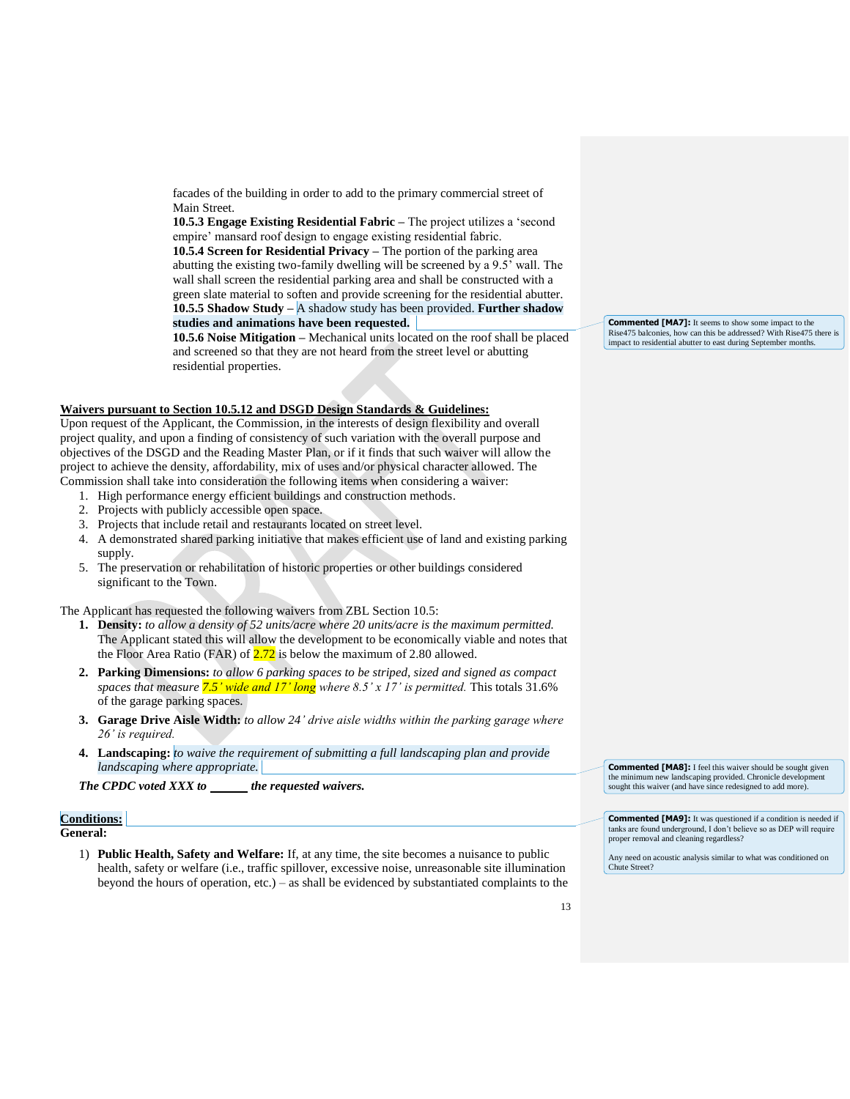facades of the building in order to add to the primary commercial street of Main Street.

**10.5.3 Engage Existing Residential Fabric –** The project utilizes a 'second empire' mansard roof design to engage existing residential fabric.

**10.5.4 Screen for Residential Privacy –** The portion of the parking area abutting the existing two-family dwelling will be screened by a 9.5' wall. The wall shall screen the residential parking area and shall be constructed with a green slate material to soften and provide screening for the residential abutter. **10.5.5 Shadow Study –** A shadow study has been provided. **Further shadow studies and animations have been requested.**

**10.5.6 Noise Mitigation –** Mechanical units located on the roof shall be placed and screened so that they are not heard from the street level or abutting residential properties.

#### **Waivers pursuant to Section 10.5.12 and DSGD Design Standards & Guidelines:**

Upon request of the Applicant, the Commission, in the interests of design flexibility and overall project quality, and upon a finding of consistency of such variation with the overall purpose and objectives of the DSGD and the Reading Master Plan, or if it finds that such waiver will allow the project to achieve the density, affordability, mix of uses and/or physical character allowed. The Commission shall take into consideration the following items when considering a waiver:

- 1. High performance energy efficient buildings and construction methods.
- 2. Projects with publicly accessible open space.
- 3. Projects that include retail and restaurants located on street level.
- 4. A demonstrated shared parking initiative that makes efficient use of land and existing parking supply.
- 5. The preservation or rehabilitation of historic properties or other buildings considered significant to the Town.

The Applicant has requested the following waivers from ZBL Section 10.5:

- **1. Density:** *to allow a density of 52 units/acre where 20 units/acre is the maximum permitted.* The Applicant stated this will allow the development to be economically viable and notes that the Floor Area Ratio (FAR) of  $2.72$  is below the maximum of 2.80 allowed.
- **2. Parking Dimensions:** *to allow 6 parking spaces to be striped, sized and signed as compact spaces that measure 7.5' wide and 17' long where 8.5' x 17' is permitted.* This totals 31.6% of the garage parking spaces.
- **3. Garage Drive Aisle Width:** *to allow 24' drive aisle widths within the parking garage where 26' is required.*
- **4. Landscaping:** *to waive the requirement of submitting a full landscaping plan and provide landscaping where appropriate.*

*The CPDC voted XXX to the requested waivers.* 

#### **Conditions:**

# **General:**

1) **Public Health, Safety and Welfare:** If, at any time, the site becomes a nuisance to public health, safety or welfare (i.e., traffic spillover, excessive noise, unreasonable site illumination beyond the hours of operation, etc.) – as shall be evidenced by substantiated complaints to the

**Commented [MA7]:** It seems to show some impact to the Rise475 balconies, how can this be addressed? With Rise475 there is impact to residential abutter to east during September months.

**Commented [MA8]:** I feel this waiver should be sought given the minimum new landscaping provided. Chronicle development sought this waiver (and have since redesigned to add more).

**Commented [MA9]:** It was questioned if a condition is needed if tanks are found underground, I don't believe so as DEP will require proper removal and cleaning regardless?

Any need on acoustic analysis similar to what was conditioned on Chute Street?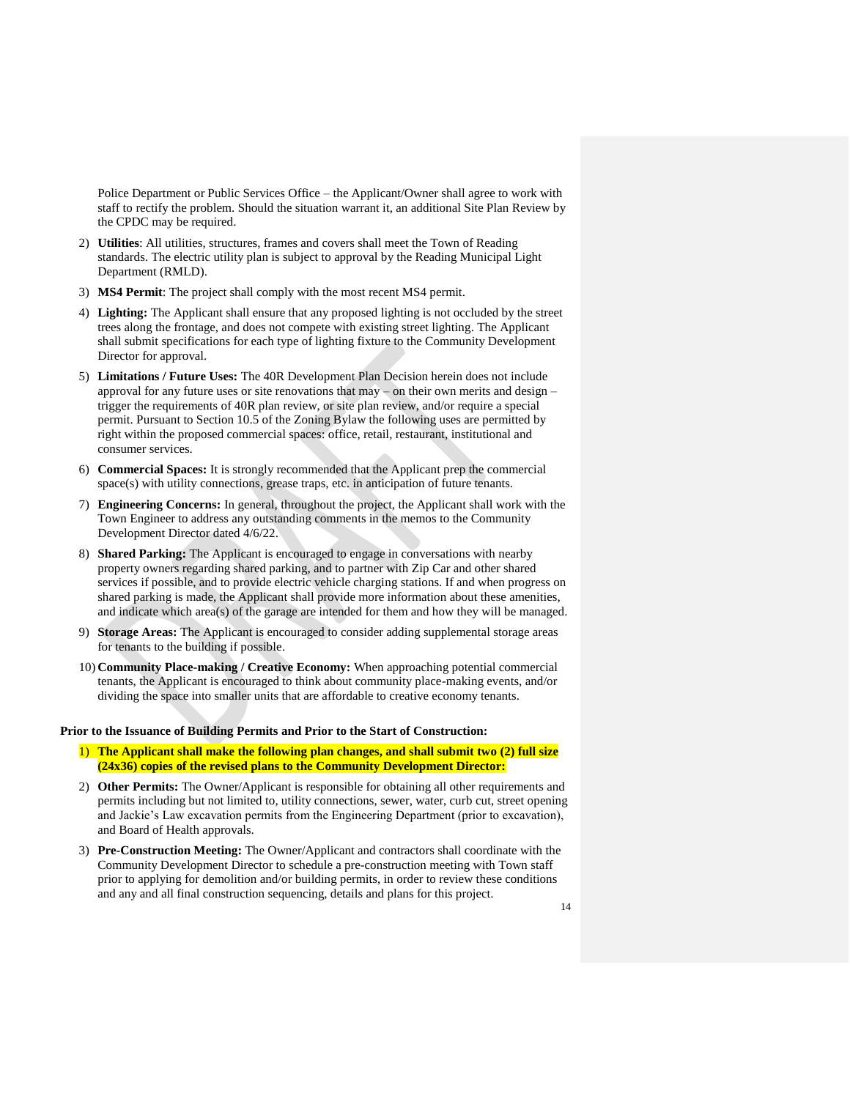Police Department or Public Services Office – the Applicant/Owner shall agree to work with staff to rectify the problem. Should the situation warrant it, an additional Site Plan Review by the CPDC may be required.

- 2) **Utilities**: All utilities, structures, frames and covers shall meet the Town of Reading standards. The electric utility plan is subject to approval by the Reading Municipal Light Department (RMLD).
- 3) **MS4 Permit**: The project shall comply with the most recent MS4 permit.
- 4) **Lighting:** The Applicant shall ensure that any proposed lighting is not occluded by the street trees along the frontage, and does not compete with existing street lighting. The Applicant shall submit specifications for each type of lighting fixture to the Community Development Director for approval.
- 5) **Limitations / Future Uses:** The 40R Development Plan Decision herein does not include approval for any future uses or site renovations that may – on their own merits and design – trigger the requirements of 40R plan review, or site plan review, and/or require a special permit. Pursuant to Section 10.5 of the Zoning Bylaw the following uses are permitted by right within the proposed commercial spaces: office, retail, restaurant, institutional and consumer services.
- 6) **Commercial Spaces:** It is strongly recommended that the Applicant prep the commercial space(s) with utility connections, grease traps, etc. in anticipation of future tenants.
- 7) **Engineering Concerns:** In general, throughout the project, the Applicant shall work with the Town Engineer to address any outstanding comments in the memos to the Community Development Director dated 4/6/22.
- 8) **Shared Parking:** The Applicant is encouraged to engage in conversations with nearby property owners regarding shared parking, and to partner with Zip Car and other shared services if possible, and to provide electric vehicle charging stations. If and when progress on shared parking is made, the Applicant shall provide more information about these amenities, and indicate which area(s) of the garage are intended for them and how they will be managed.
- 9) **Storage Areas:** The Applicant is encouraged to consider adding supplemental storage areas for tenants to the building if possible.
- 10) **Community Place-making / Creative Economy:** When approaching potential commercial tenants, the Applicant is encouraged to think about community place-making events, and/or dividing the space into smaller units that are affordable to creative economy tenants.

#### **Prior to the Issuance of Building Permits and Prior to the Start of Construction:**

- 1) **The Applicant shall make the following plan changes, and shall submit two (2) full size (24x36) copies of the revised plans to the Community Development Director:**
- 2) **Other Permits:** The Owner/Applicant is responsible for obtaining all other requirements and permits including but not limited to, utility connections, sewer, water, curb cut, street opening and Jackie's Law excavation permits from the Engineering Department (prior to excavation), and Board of Health approvals.
- 3) **Pre-Construction Meeting:** The Owner/Applicant and contractors shall coordinate with the Community Development Director to schedule a pre-construction meeting with Town staff prior to applying for demolition and/or building permits, in order to review these conditions and any and all final construction sequencing, details and plans for this project.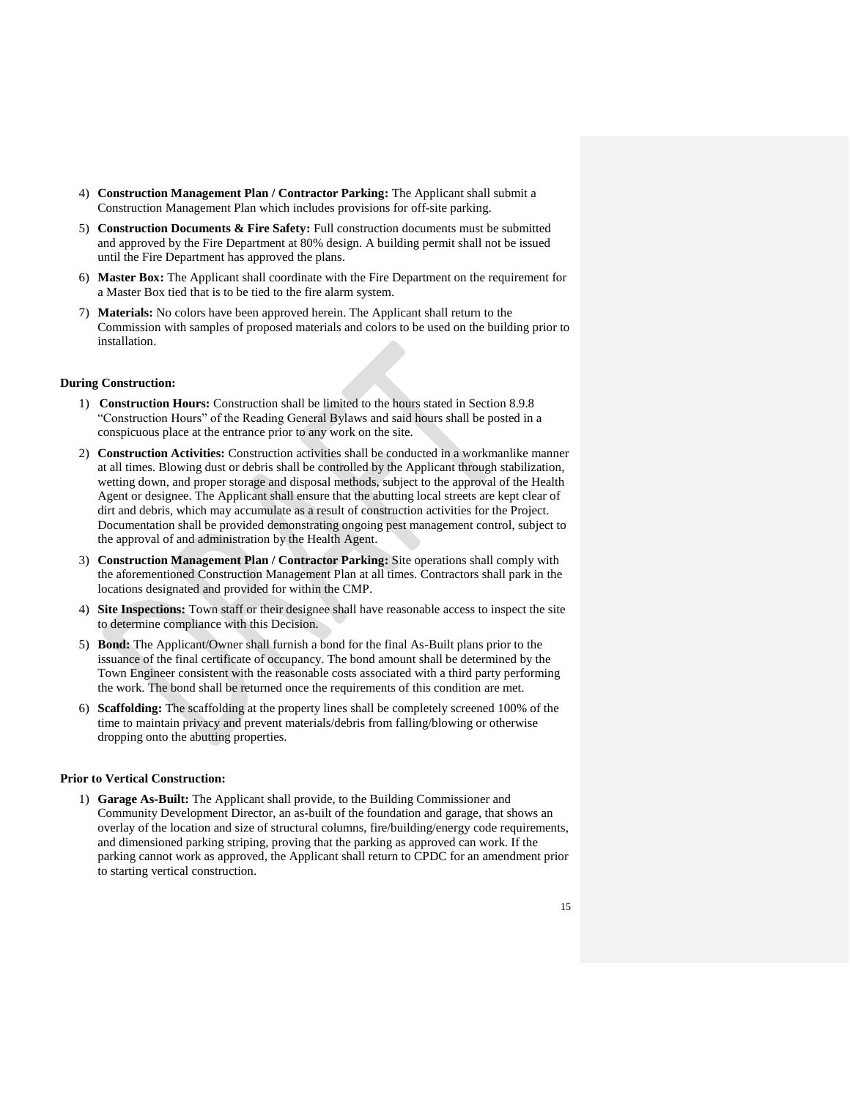- 4) **Construction Management Plan / Contractor Parking:** The Applicant shall submit a Construction Management Plan which includes provisions for off-site parking.
- 5) **Construction Documents & Fire Safety:** Full construction documents must be submitted and approved by the Fire Department at 80% design. A building permit shall not be issued until the Fire Department has approved the plans.
- 6) **Master Box:** The Applicant shall coordinate with the Fire Department on the requirement for a Master Box tied that is to be tied to the fire alarm system.
- 7) **Materials:** No colors have been approved herein. The Applicant shall return to the Commission with samples of proposed materials and colors to be used on the building prior to installation.

#### **During Construction:**

- 1) **Construction Hours:** Construction shall be limited to the hours stated in Section 8.9.8 "Construction Hours" of the Reading General Bylaws and said hours shall be posted in a conspicuous place at the entrance prior to any work on the site.
- 2) **Construction Activities:** Construction activities shall be conducted in a workmanlike manner at all times. Blowing dust or debris shall be controlled by the Applicant through stabilization, wetting down, and proper storage and disposal methods, subject to the approval of the Health Agent or designee. The Applicant shall ensure that the abutting local streets are kept clear of dirt and debris, which may accumulate as a result of construction activities for the Project. Documentation shall be provided demonstrating ongoing pest management control, subject to the approval of and administration by the Health Agent.
- 3) **Construction Management Plan / Contractor Parking:** Site operations shall comply with the aforementioned Construction Management Plan at all times. Contractors shall park in the locations designated and provided for within the CMP.
- 4) **Site Inspections:** Town staff or their designee shall have reasonable access to inspect the site to determine compliance with this Decision.
- 5) **Bond:** The Applicant/Owner shall furnish a bond for the final As-Built plans prior to the issuance of the final certificate of occupancy. The bond amount shall be determined by the Town Engineer consistent with the reasonable costs associated with a third party performing the work. The bond shall be returned once the requirements of this condition are met.
- 6) **Scaffolding:** The scaffolding at the property lines shall be completely screened 100% of the time to maintain privacy and prevent materials/debris from falling/blowing or otherwise dropping onto the abutting properties.

#### **Prior to Vertical Construction:**

1) **Garage As-Built:** The Applicant shall provide, to the Building Commissioner and Community Development Director, an as-built of the foundation and garage, that shows an overlay of the location and size of structural columns, fire/building/energy code requirements, and dimensioned parking striping, proving that the parking as approved can work. If the parking cannot work as approved, the Applicant shall return to CPDC for an amendment prior to starting vertical construction.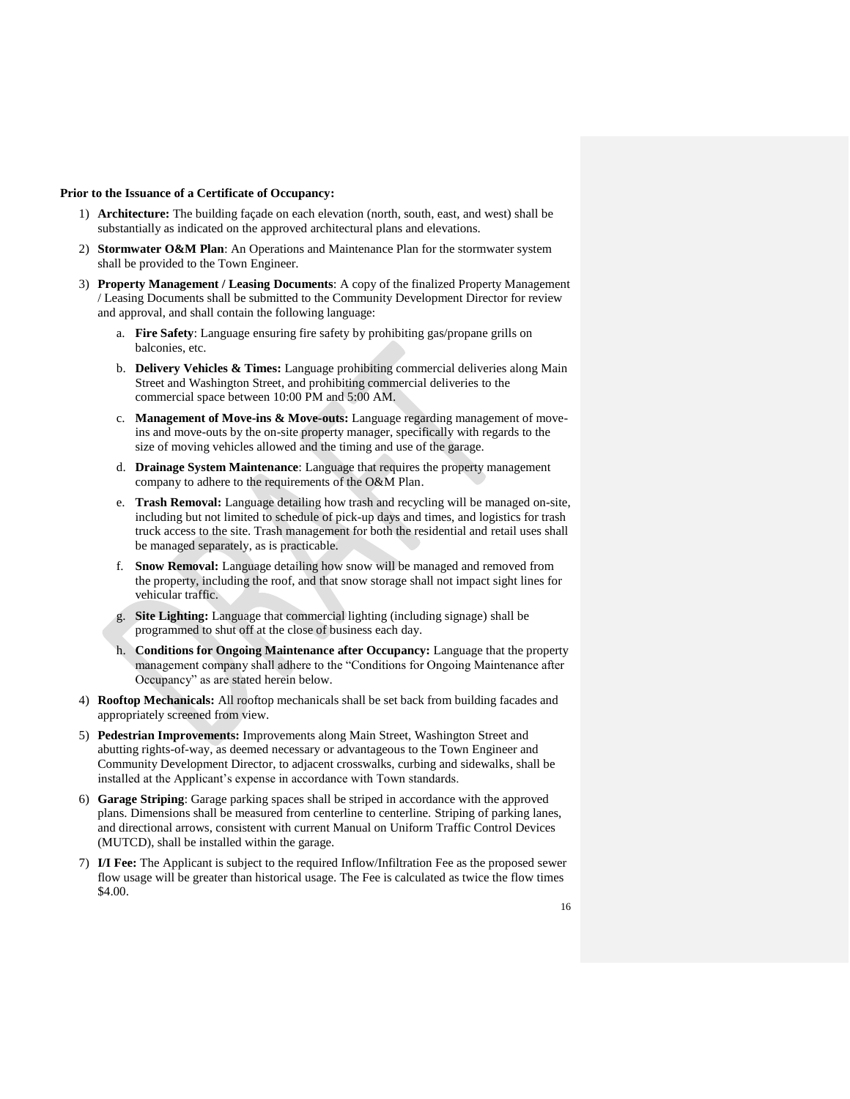#### **Prior to the Issuance of a Certificate of Occupancy:**

- 1) **Architecture:** The building façade on each elevation (north, south, east, and west) shall be substantially as indicated on the approved architectural plans and elevations.
- 2) **Stormwater O&M Plan**: An Operations and Maintenance Plan for the stormwater system shall be provided to the Town Engineer.
- 3) **Property Management / Leasing Documents**: A copy of the finalized Property Management / Leasing Documents shall be submitted to the Community Development Director for review and approval, and shall contain the following language:
	- a. **Fire Safety**: Language ensuring fire safety by prohibiting gas/propane grills on balconies, etc.
	- b. **Delivery Vehicles & Times:** Language prohibiting commercial deliveries along Main Street and Washington Street, and prohibiting commercial deliveries to the commercial space between 10:00 PM and 5:00 AM.
	- c. **Management of Move-ins & Move-outs:** Language regarding management of moveins and move-outs by the on-site property manager, specifically with regards to the size of moving vehicles allowed and the timing and use of the garage.
	- d. **Drainage System Maintenance**: Language that requires the property management company to adhere to the requirements of the O&M Plan.
	- e. **Trash Removal:** Language detailing how trash and recycling will be managed on-site, including but not limited to schedule of pick-up days and times, and logistics for trash truck access to the site. Trash management for both the residential and retail uses shall be managed separately, as is practicable.
	- f. **Snow Removal:** Language detailing how snow will be managed and removed from the property, including the roof, and that snow storage shall not impact sight lines for vehicular traffic.
	- g. **Site Lighting:** Language that commercial lighting (including signage) shall be programmed to shut off at the close of business each day.
	- h. **Conditions for Ongoing Maintenance after Occupancy:** Language that the property management company shall adhere to the "Conditions for Ongoing Maintenance after Occupancy" as are stated herein below.
- 4) **Rooftop Mechanicals:** All rooftop mechanicals shall be set back from building facades and appropriately screened from view.
- 5) **Pedestrian Improvements:** Improvements along Main Street, Washington Street and abutting rights-of-way, as deemed necessary or advantageous to the Town Engineer and Community Development Director, to adjacent crosswalks, curbing and sidewalks, shall be installed at the Applicant's expense in accordance with Town standards.
- 6) **Garage Striping**: Garage parking spaces shall be striped in accordance with the approved plans. Dimensions shall be measured from centerline to centerline. Striping of parking lanes, and directional arrows, consistent with current Manual on Uniform Traffic Control Devices (MUTCD), shall be installed within the garage.
- 7) **I/I Fee:** The Applicant is subject to the required Inflow/Infiltration Fee as the proposed sewer flow usage will be greater than historical usage. The Fee is calculated as twice the flow times \$4.00.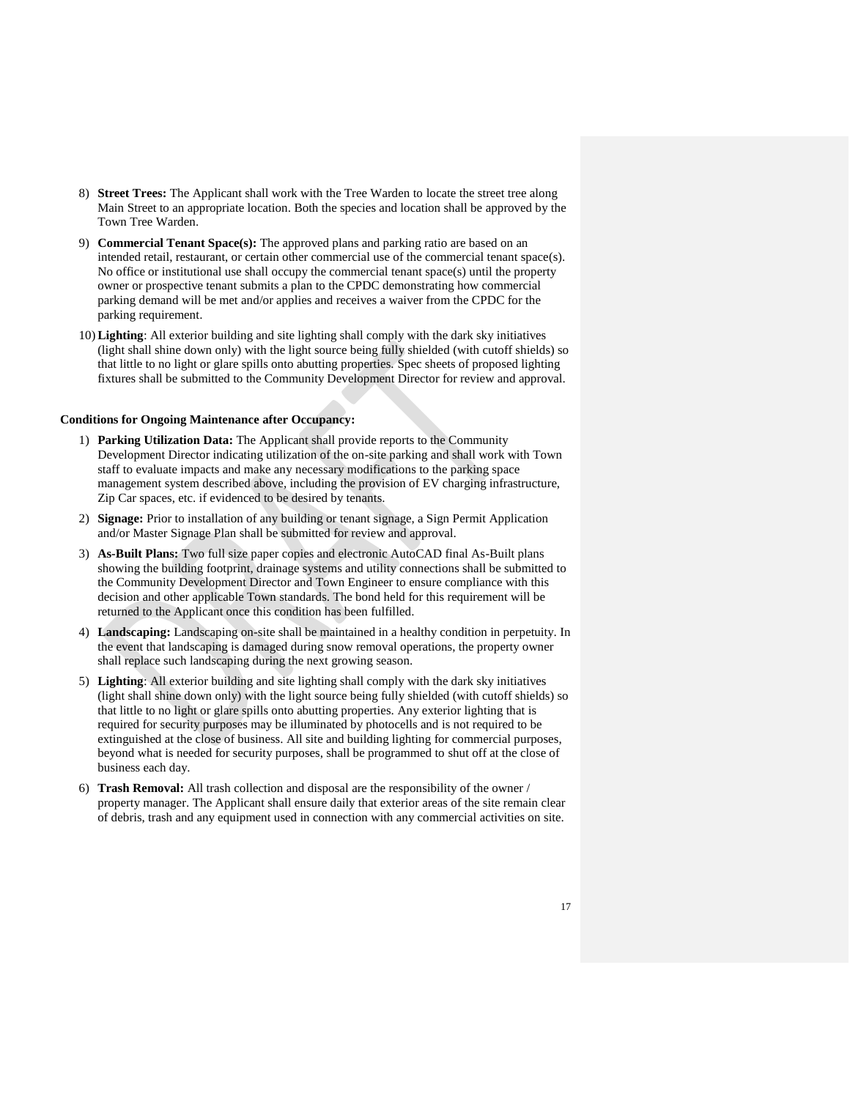- 8) **Street Trees:** The Applicant shall work with the Tree Warden to locate the street tree along Main Street to an appropriate location. Both the species and location shall be approved by the Town Tree Warden.
- 9) **Commercial Tenant Space(s):** The approved plans and parking ratio are based on an intended retail, restaurant, or certain other commercial use of the commercial tenant space(s). No office or institutional use shall occupy the commercial tenant space(s) until the property owner or prospective tenant submits a plan to the CPDC demonstrating how commercial parking demand will be met and/or applies and receives a waiver from the CPDC for the parking requirement.
- 10)**Lighting**: All exterior building and site lighting shall comply with the dark sky initiatives (light shall shine down only) with the light source being fully shielded (with cutoff shields) so that little to no light or glare spills onto abutting properties. Spec sheets of proposed lighting fixtures shall be submitted to the Community Development Director for review and approval.

#### **Conditions for Ongoing Maintenance after Occupancy:**

- 1) **Parking Utilization Data:** The Applicant shall provide reports to the Community Development Director indicating utilization of the on-site parking and shall work with Town staff to evaluate impacts and make any necessary modifications to the parking space management system described above, including the provision of EV charging infrastructure, Zip Car spaces, etc. if evidenced to be desired by tenants.
- 2) **Signage:** Prior to installation of any building or tenant signage, a Sign Permit Application and/or Master Signage Plan shall be submitted for review and approval.
- 3) **As-Built Plans:** Two full size paper copies and electronic AutoCAD final As-Built plans showing the building footprint, drainage systems and utility connections shall be submitted to the Community Development Director and Town Engineer to ensure compliance with this decision and other applicable Town standards. The bond held for this requirement will be returned to the Applicant once this condition has been fulfilled.
- 4) **Landscaping:** Landscaping on-site shall be maintained in a healthy condition in perpetuity. In the event that landscaping is damaged during snow removal operations, the property owner shall replace such landscaping during the next growing season.
- 5) **Lighting**: All exterior building and site lighting shall comply with the dark sky initiatives (light shall shine down only) with the light source being fully shielded (with cutoff shields) so that little to no light or glare spills onto abutting properties. Any exterior lighting that is required for security purposes may be illuminated by photocells and is not required to be extinguished at the close of business. All site and building lighting for commercial purposes, beyond what is needed for security purposes, shall be programmed to shut off at the close of business each day.
- 6) **Trash Removal:** All trash collection and disposal are the responsibility of the owner / property manager. The Applicant shall ensure daily that exterior areas of the site remain clear of debris, trash and any equipment used in connection with any commercial activities on site.